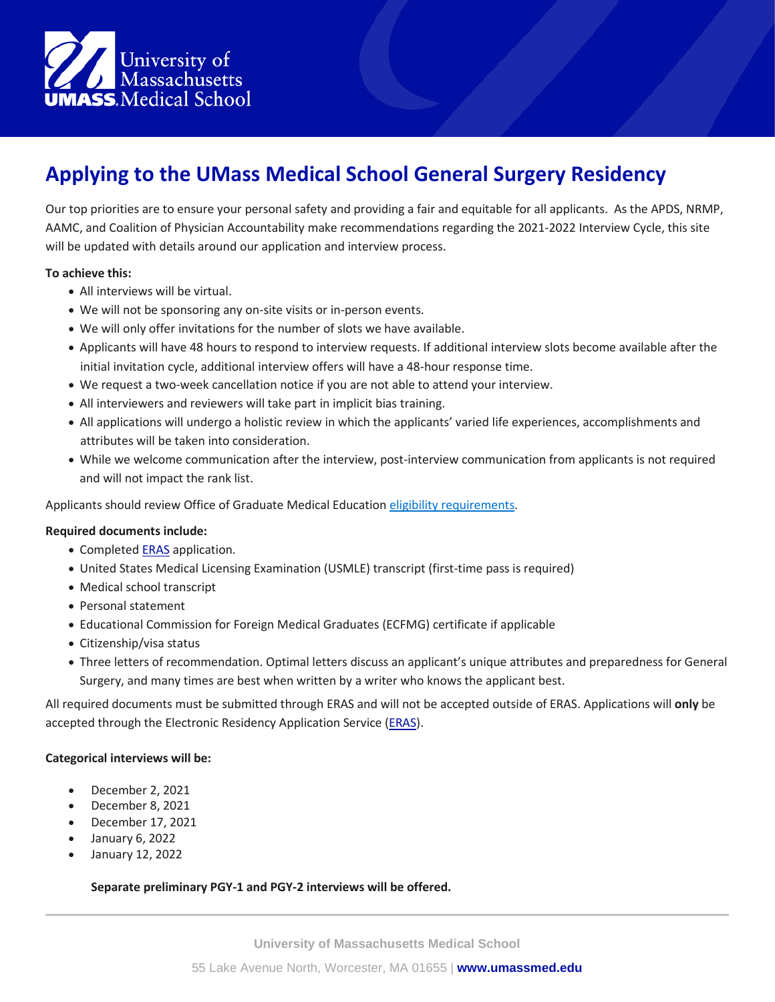

# **Applying to the UMass Medical School General Surgery Residency**

Our top priorities are to ensure your personal safety and providing a fair and equitable for all applicants. As the APDS, NRMP, AAMC, and Coalition of Physician Accountability make recommendations regarding the 2021-2022 Interview Cycle, this site will be updated with details around our application and interview process.

### **To achieve this:**

- All interviews will be virtual.
- We will not be sponsoring any on-site visits or in-person events.
- We will only offer invitations for the number of slots we have available.
- Applicants will have 48 hours to respond to interview requests. If additional interview slots become available after the initial invitation cycle, additional interview offers will have a 48-hour response time.
- We request a two-week cancellation notice if you are not able to attend your interview.
- All interviewers and reviewers will take part in implicit bias training.
- All applications will undergo a holistic review in which the applicants' varied life experiences, accomplishments and attributes will be taken into consideration.
- While we welcome communication after the interview, post-interview communication from applicants is not required and will not impact the rank list.

Applicants should review Office of Graduate Medical Education [eligibility requirements.](https://www.umassmed.edu/gme/future-residentsfellows/application-process/)

## **Required documents include:**

- Completed **[ERAS](https://www.aamc.org/students/medstudents/eras/)** application.
- United States Medical Licensing Examination (USMLE) transcript (first-time pass is required)
- Medical school transcript
- Personal statement
- Educational Commission for Foreign Medical Graduates (ECFMG) certificate if applicable
- Citizenship/visa status
- Three letters of recommendation. Optimal letters discuss an applicant's unique attributes and preparedness for General Surgery, and many times are best when written by a writer who knows the applicant best.

All required documents must be submitted through [ERAS](https://www.aamc.org/students/medstudents/eras/) and will not be accepted outside of ERAS. Applications will **only** be accepted through the Electronic Residency Application Service [\(ERAS\)](https://www.aamc.org/students/medstudents/eras/).

#### **Categorical interviews will be:**

- December 2, 2021
- December 8, 2021
- December 17, 2021
- January 6, 2022
- January 12, 2022

#### **Separate preliminary PGY-1 and PGY-2 interviews will be offered.**